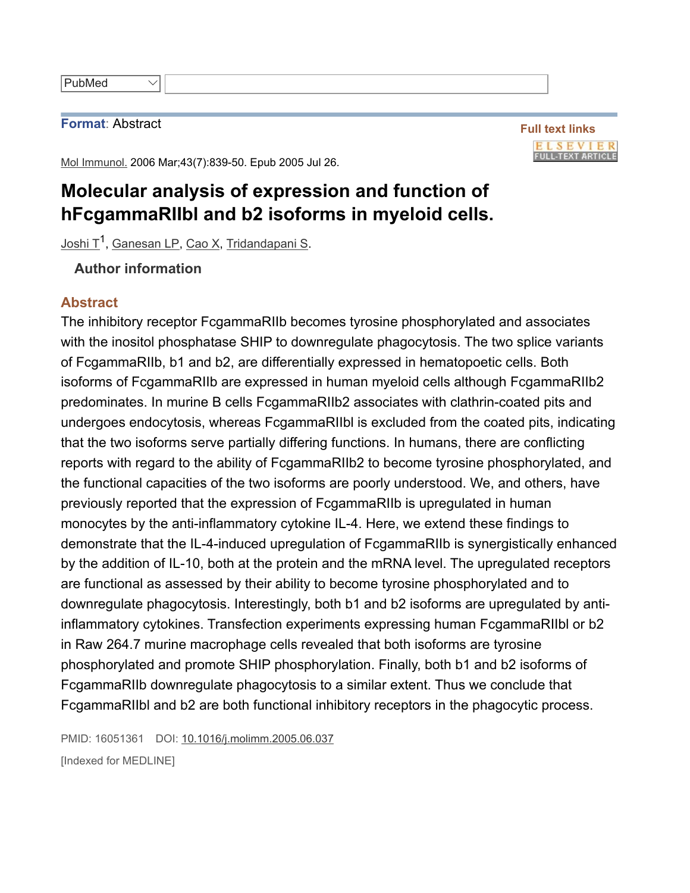## Format: Abstract

Mol Immunol. 2006 Mar;43(7):839-50. Epub 2005 Jul 26.

## Molecular analysis of expression and function of hFcgammaRIIbl and b2 isoforms in myeloid cells.

Joshi T<sup>1</sup>, <u>Ganesan LP, Cao X, Tridandapani S</u>.

## Author information

## **Abstract**

The inhibitory receptor FcgammaRIIb becomes tyrosine phosphorylated and associates with the inositol phosphatase SHIP to downregulate phagocytosis. The two splice variants of FcgammaRIIb, b1 and b2, are differentially expressed in hematopoetic cells. Both isoforms of FcgammaRIIb are expressed in human myeloid cells although FcgammaRIIb2 predominates. In murine B cells FcgammaRIIb2 associates with clathrin-coated pits and undergoes endocytosis, whereas FcgammaRIIbl is excluded from the coated pits, indicating that the two isoforms serve partially differing functions. In humans, there are conflicting reports with regard to the ability of FcgammaRIIb2 to become tyrosine phosphorylated, and the functional capacities of the two isoforms are poorly understood. We, and others, have previously reported that the expression of FcgammaRIIb is upregulated in human monocytes by the anti-inflammatory cytokine IL-4. Here, we extend these findings to demonstrate that the IL-4-induced upregulation of FcgammaRIIb is synergistically enhanced by the addition of IL-10, both at the protein and the mRNA level. The upregulated receptors are functional as assessed by their ability to become tyrosine phosphorylated and to downregulate phagocytosis. Interestingly, both b1 and b2 isoforms are upregulated by antiinflammatory cytokines. Transfection experiments expressing human FcgammaRIIbl or b2 in Raw 264.7 murine macrophage cells revealed that both isoforms are tyrosine phosphorylated and promote SHIP phosphorylation. Finally, both b1 and b2 isoforms of FcgammaRIIb downregulate phagocytosis to a similar extent. Thus we conclude that FcgammaRIIbl and b2 are both functional inhibitory receptors in the phagocytic process.

PMID: 16051361 DOI: 10.1016/j.molimm.2005.06.037 [Indexed for MEDLINE]

Full text links **ELSEVIER** ULL-TEXT ARTICLE